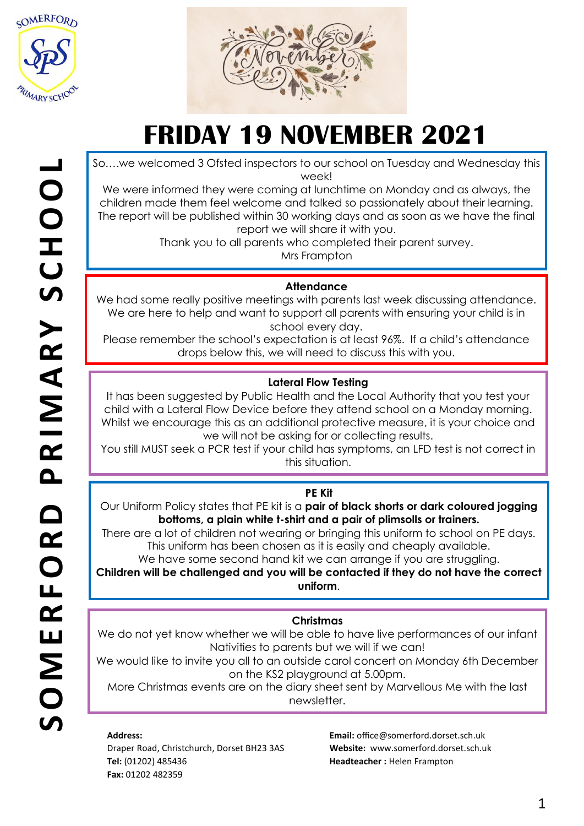



So….we welcomed 3 Ofsted inspectors to our school on Tuesday and Wednesday this week!

We were informed they were coming at lunchtime on Monday and as always, the children made them feel welcome and talked so passionately about their learning. The report will be published within 30 working days and as soon as we have the final report we will share it with you.

Thank you to all parents who completed their parent survey. Mrs Frampton

### **Attendance**

We had some really positive meetings with parents last week discussing attendance. We are here to help and want to support all parents with ensuring your child is in school every day.

Please remember the school's expectation is at least 96%. If a child's attendance drops below this, we will need to discuss this with you.

## **Lateral Flow Testing**

It has been suggested by Public Health and the Local Authority that you test your child with a Lateral Flow Device before they attend school on a Monday morning. Whilst we encourage this as an additional protective measure, it is your choice and we will not be asking for or collecting results.

You still MUST seek a PCR test if your child has symptoms, an LFD test is not correct in this situation.

#### **PE Kit**

Our Uniform Policy states that PE kit is a **pair of black shorts or dark coloured jogging bottoms, a plain white t-shirt and a pair of plimsolls or trainers.**

There are a lot of children not wearing or bringing this uniform to school on PE days. This uniform has been chosen as it is easily and cheaply available.

We have some second hand kit we can arrange if you are struggling.

**Children will be challenged and you will be contacted if they do not have the correct uniform**.

## **Christmas**

We do not yet know whether we will be able to have live performances of our infant Nativities to parents but we will if we can!

We would like to invite you all to an outside carol concert on Monday 6th December on the KS2 playground at 5.00pm.

More Christmas events are on the diary sheet sent by Marvellous Me with the last newsletter.

#### **Address:**

Draper Road, Christchurch, Dorset BH23 3AS **Tel:** (01202) 485436 **Fax:** 01202 482359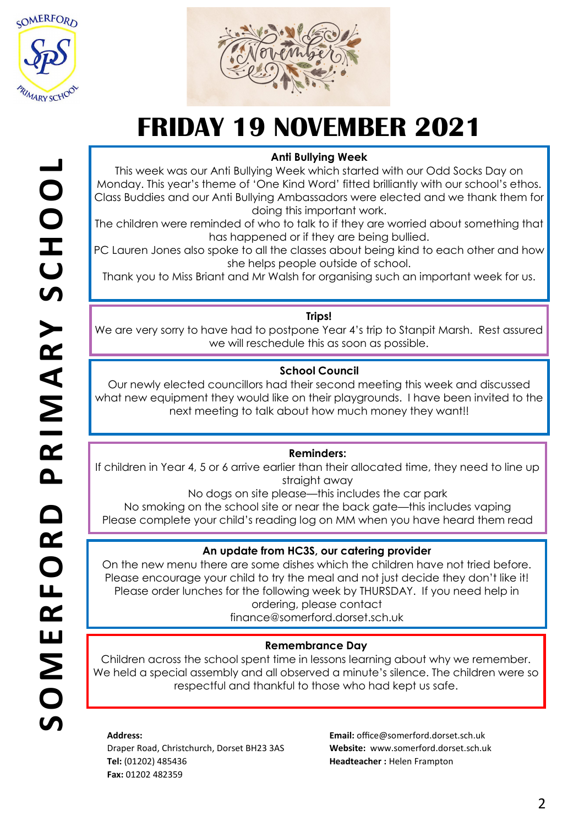



## **Anti Bullying Week**

This week was our Anti Bullying Week which started with our Odd Socks Day on Monday. This year's theme of 'One Kind Word' fitted brilliantly with our school's ethos. Class Buddies and our Anti Bullying Ambassadors were elected and we thank them for doing this important work.

The children were reminded of who to talk to if they are worried about something that has happened or if they are being bullied.

PC Lauren Jones also spoke to all the classes about being kind to each other and how she helps people outside of school.

Thank you to Miss Briant and Mr Walsh for organising such an important week for us.

#### **Trips!**

We are very sorry to have had to postpone Year 4's trip to Stanpit Marsh. Rest assured we will reschedule this as soon as possible.

### **School Council**

Our newly elected councillors had their second meeting this week and discussed what new equipment they would like on their playgrounds. I have been invited to the next meeting to talk about how much money they want!!

#### **Reminders:**

If children in Year 4, 5 or 6 arrive earlier than their allocated time, they need to line up straight away

No dogs on site please—this includes the car park

No smoking on the school site or near the back gate—this includes vaping Please complete your child's reading log on MM when you have heard them read

#### **An update from HC3S, our catering provider**

On the new menu there are some dishes which the children have not tried before. Please encourage your child to try the meal and not just decide they don't like it! Please order lunches for the following week by THURSDAY. If you need help in ordering, please contact

finance@somerford.dorset.sch.uk

#### **Remembrance Day**

Children across the school spent time in lessons learning about why we remember. We held a special assembly and all observed a minute's silence. The children were so respectful and thankful to those who had kept us safe.

#### **Address:**

Draper Road, Christchurch, Dorset BH23 3AS **Tel:** (01202) 485436 **Fax:** 01202 482359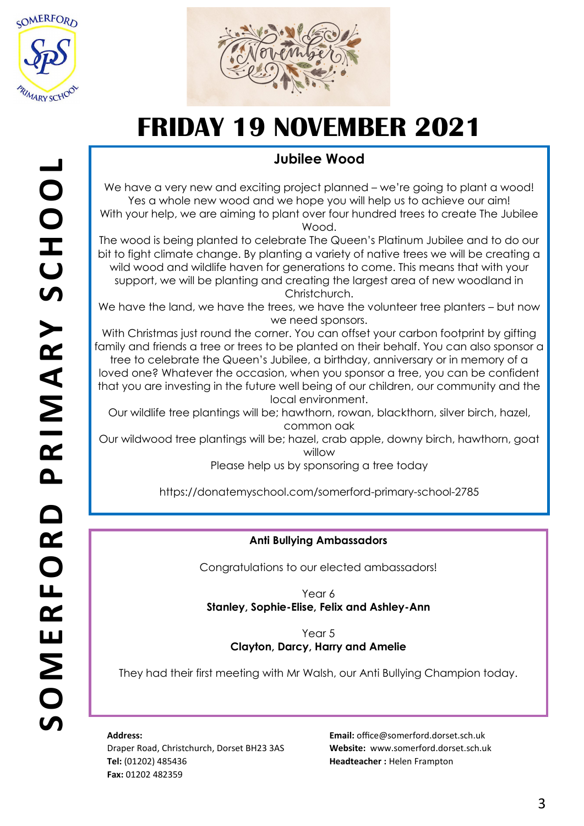



## **Jubilee Wood**

We have a very new and exciting project planned – we're going to plant a wood! Yes a whole new wood and we hope you will help us to achieve our aim! With your help, we are aiming to plant over four hundred trees to create The Jubilee Wood.

The wood is being planted to celebrate The Queen's Platinum Jubilee and to do our bit to fight climate change. By planting a variety of native trees we will be creating a wild wood and wildlife haven for generations to come. This means that with your support, we will be planting and creating the largest area of new woodland in Christchurch.

We have the land, we have the trees, we have the volunteer tree planters – but now we need sponsors.

With Christmas just round the corner. You can offset your carbon footprint by gifting family and friends a tree or trees to be planted on their behalf. You can also sponsor a tree to celebrate the Queen's Jubilee, a birthday, anniversary or in memory of a loved one? Whatever the occasion, when you sponsor a tree, you can be confident that you are investing in the future well being of our children, our community and the local environment.

Our wildlife tree plantings will be; hawthorn, rowan, blackthorn, silver birch, hazel, common oak

Our wildwood tree plantings will be; hazel, crab apple, downy birch, hawthorn, goat willow

Please help us by sponsoring a tree today

https://donatemyschool.com/somerford-primary-school-2785

## **Anti Bullying Ambassadors**

Congratulations to our elected ambassadors!

Year 6 **Stanley, Sophie-Elise, Felix and Ashley-Ann**

> Year 5 **Clayton, Darcy, Harry and Amelie**

They had their first meeting with Mr Walsh, our Anti Bullying Champion today.

**Address:** 

Draper Road, Christchurch, Dorset BH23 3AS **Tel:** (01202) 485436 **Fax:** 01202 482359